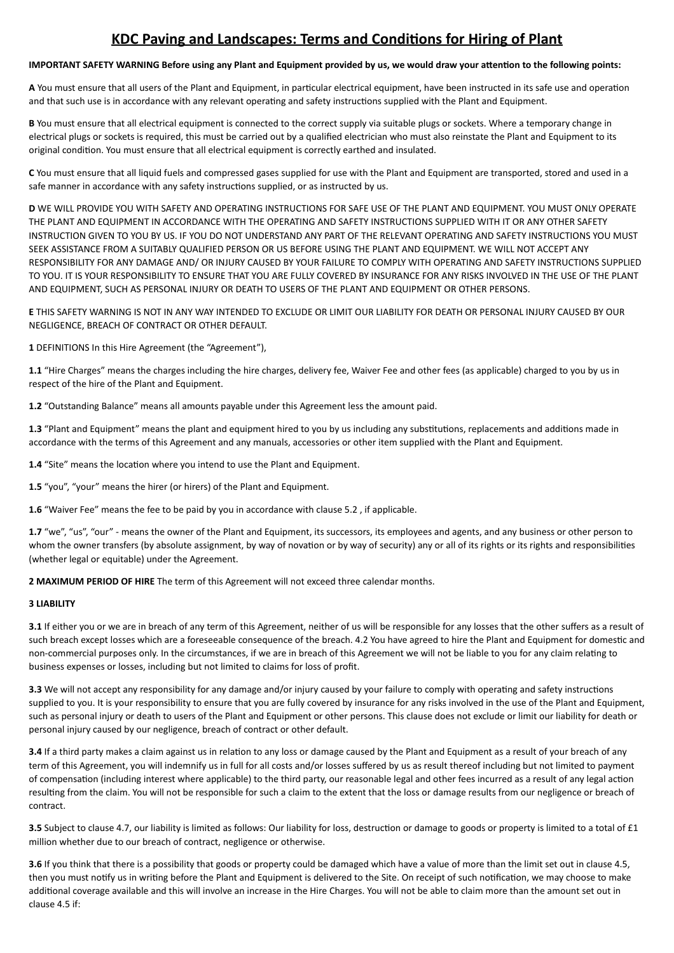# **KDC Paving and Landscapes: Terms and Conditions for Hiring of Plant**

## **IMPORTANT SAFETY WARNING Before using any Plant and Equipment provided by us, we would draw your attention to the following points:**

A You must ensure that all users of the Plant and Equipment, in particular electrical equipment, have been instructed in its safe use and operation and that such use is in accordance with any relevant operating and safety instructions supplied with the Plant and Equipment.

**B** You must ensure that all electrical equipment is connected to the correct supply via suitable plugs or sockets. Where a temporary change in electrical plugs or sockets is required, this must be carried out by a qualified electrician who must also reinstate the Plant and Equipment to its original condition. You must ensure that all electrical equipment is correctly earthed and insulated.

C You must ensure that all liquid fuels and compressed gases supplied for use with the Plant and Equipment are transported, stored and used in a safe manner in accordance with any safety instructions supplied, or as instructed by us.

**D** WE WILL PROVIDE YOU WITH SAFETY AND OPERATING INSTRUCTIONS FOR SAFE USE OF THE PLANT AND EQUIPMENT. YOU MUST ONLY OPERATE THE PLANT AND EQUIPMENT IN ACCORDANCE WITH THE OPERATING AND SAFETY INSTRUCTIONS SUPPLIED WITH IT OR ANY OTHER SAFETY INSTRUCTION GIVEN TO YOU BY US. IF YOU DO NOT UNDERSTAND ANY PART OF THE RELEVANT OPERATING AND SAFETY INSTRUCTIONS YOU MUST SEEK ASSISTANCE FROM A SUITABLY QUALIFIED PERSON OR US BEFORE USING THE PLANT AND EQUIPMENT. WE WILL NOT ACCEPT ANY RESPONSIBILITY FOR ANY DAMAGE AND/ OR INJURY CAUSED BY YOUR FAILURE TO COMPLY WITH OPERATING AND SAFETY INSTRUCTIONS SUPPLIED TO YOU. IT IS YOUR RESPONSIBILITY TO ENSURE THAT YOU ARE FULLY COVERED BY INSURANCE FOR ANY RISKS INVOLVED IN THE USE OF THE PLANT AND EQUIPMENT, SUCH AS PERSONAL INJURY OR DEATH TO USERS OF THE PLANT AND EQUIPMENT OR OTHER PERSONS.

**E** THIS SAFETY WARNING IS NOT IN ANY WAY INTENDED TO EXCLUDE OR LIMIT OUR LIABILITY FOR DEATH OR PERSONAL INJURY CAUSED BY OUR NEGLIGENCE, BREACH OF CONTRACT OR OTHER DEFAULT.

1 DEFINITIONS In this Hire Agreement (the "Agreement"),

1.1 "Hire Charges" means the charges including the hire charges, delivery fee, Waiver Fee and other fees (as applicable) charged to you by us in respect of the hire of the Plant and Equipment.

**1.2** "Outstanding Balance" means all amounts payable under this Agreement less the amount paid.

1.3 "Plant and Equipment" means the plant and equipment hired to you by us including any substitutions, replacements and additions made in accordance with the terms of this Agreement and any manuals, accessories or other item supplied with the Plant and Equipment.

**1.4** "Site" means the location where you intend to use the Plant and Equipment.

**1.5** "you", "your" means the hirer (or hirers) of the Plant and Equipment.

**1.6** "Waiver Fee" means the fee to be paid by you in accordance with clause 5.2, if applicable.

1.7 "we", "us", "our" - means the owner of the Plant and Equipment, its successors, its employees and agents, and any business or other person to whom the owner transfers (by absolute assignment, by way of novation or by way of security) any or all of its rights or its rights and responsibilities (whether legal or equitable) under the Agreement.

**2 MAXIMUM PERIOD OF HIRE** The term of this Agreement will not exceed three calendar months.

## **3 LIABILITY**

**3.1** If either you or we are in breach of any term of this Agreement, neither of us will be responsible for any losses that the other suffers as a result of such breach except losses which are a foreseeable consequence of the breach. 4.2 You have agreed to hire the Plant and Equipment for domestic and non-commercial purposes only. In the circumstances, if we are in breach of this Agreement we will not be liable to you for any claim relating to business expenses or losses, including but not limited to claims for loss of profit.

**3.3** We will not accept any responsibility for any damage and/or injury caused by your failure to comply with operating and safety instructions supplied to you. It is your responsibility to ensure that you are fully covered by insurance for any risks involved in the use of the Plant and Equipment, such as personal injury or death to users of the Plant and Equipment or other persons. This clause does not exclude or limit our liability for death or personal injury caused by our negligence, breach of contract or other default.

**3.4** If a third party makes a claim against us in relation to any loss or damage caused by the Plant and Equipment as a result of your breach of any term of this Agreement, you will indemnify us in full for all costs and/or losses suffered by us as result thereof including but not limited to payment of compensation (including interest where applicable) to the third party, our reasonable legal and other fees incurred as a result of any legal action resulting from the claim. You will not be responsible for such a claim to the extent that the loss or damage results from our negligence or breach of contract. 

**3.5** Subject to clause 4.7, our liability is limited as follows: Our liability for loss, destruction or damage to goods or property is limited to a total of £1 million whether due to our breach of contract, negligence or otherwise.

**3.6** If you think that there is a possibility that goods or property could be damaged which have a value of more than the limit set out in clause 4.5. then you must notify us in writing before the Plant and Equipment is delivered to the Site. On receipt of such notification, we may choose to make additional coverage available and this will involve an increase in the Hire Charges. You will not be able to claim more than the amount set out in clause 4.5 if: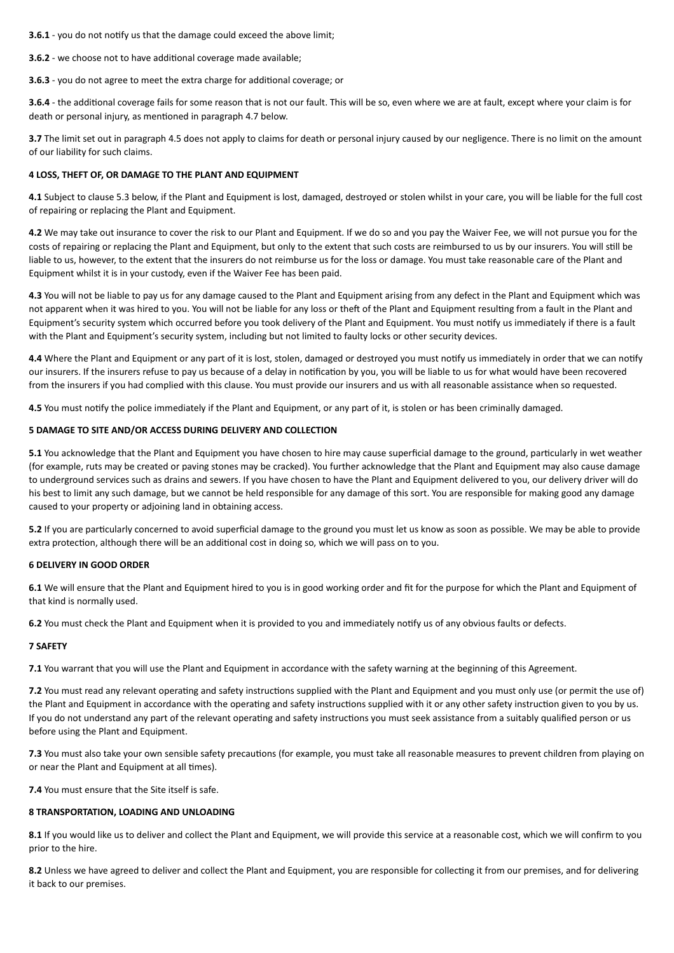**3.6.1** - you do not notify us that the damage could exceed the above limit:

**3.6.2** - we choose not to have additional coverage made available;

**3.6.3** - you do not agree to meet the extra charge for additional coverage; or

**3.6.4** - the additional coverage fails for some reason that is not our fault. This will be so, even where we are at fault, except where your claim is for death or personal injury, as mentioned in paragraph 4.7 below.

**3.7** The limit set out in paragraph 4.5 does not apply to claims for death or personal injury caused by our negligence. There is no limit on the amount of our liability for such claims.

## **4 LOSS, THEFT OF, OR DAMAGE TO THE PLANT AND EQUIPMENT**

**4.1** Subject to clause 5.3 below, if the Plant and Equipment is lost, damaged, destroyed or stolen whilst in your care, you will be liable for the full cost of repairing or replacing the Plant and Equipment.

**4.2** We may take out insurance to cover the risk to our Plant and Equipment. If we do so and you pay the Waiver Fee, we will not pursue you for the costs of repairing or replacing the Plant and Equipment, but only to the extent that such costs are reimbursed to us by our insurers. You will still be liable to us, however, to the extent that the insurers do not reimburse us for the loss or damage. You must take reasonable care of the Plant and Equipment whilst it is in your custody, even if the Waiver Fee has been paid.

**4.3** You will not be liable to pay us for any damage caused to the Plant and Equipment arising from any defect in the Plant and Equipment which was not apparent when it was hired to you. You will not be liable for any loss or theft of the Plant and Equipment resulting from a fault in the Plant and Equipment's security system which occurred before you took delivery of the Plant and Equipment. You must notify us immediately if there is a fault with the Plant and Equipment's security system, including but not limited to faulty locks or other security devices.

**4.4** Where the Plant and Equipment or any part of it is lost, stolen, damaged or destroyed you must notify us immediately in order that we can notify our insurers. If the insurers refuse to pay us because of a delay in notification by you, you will be liable to us for what would have been recovered from the insurers if you had complied with this clause. You must provide our insurers and us with all reasonable assistance when so requested.

**4.5** You must notify the police immediately if the Plant and Equipment, or any part of it, is stolen or has been criminally damaged.

## **5 DAMAGE TO SITE AND/OR ACCESS DURING DELIVERY AND COLLECTION**

**5.1** You acknowledge that the Plant and Equipment you have chosen to hire may cause superficial damage to the ground, particularly in wet weather (for example, ruts may be created or paving stones may be cracked). You further acknowledge that the Plant and Equipment may also cause damage to underground services such as drains and sewers. If you have chosen to have the Plant and Equipment delivered to you, our delivery driver will do his best to limit any such damage, but we cannot be held responsible for any damage of this sort. You are responsible for making good any damage caused to your property or adjoining land in obtaining access.

**5.2** If you are particularly concerned to avoid superficial damage to the ground you must let us know as soon as possible. We may be able to provide extra protection, although there will be an additional cost in doing so, which we will pass on to you.

#### **6 DELIVERY IN GOOD ORDER**

6.1 We will ensure that the Plant and Equipment hired to you is in good working order and fit for the purpose for which the Plant and Equipment of that kind is normally used.

**6.2** You must check the Plant and Equipment when it is provided to you and immediately notify us of any obvious faults or defects.

#### **7 SAFETY**

**7.1** You warrant that you will use the Plant and Equipment in accordance with the safety warning at the beginning of this Agreement.

**7.2** You must read any relevant operating and safety instructions supplied with the Plant and Equipment and you must only use (or permit the use of) the Plant and Equipment in accordance with the operating and safety instructions supplied with it or any other safety instruction given to you by us. If you do not understand any part of the relevant operating and safety instructions you must seek assistance from a suitably qualified person or us before using the Plant and Equipment.

**7.3** You must also take your own sensible safety precautions (for example, you must take all reasonable measures to prevent children from playing on or near the Plant and Equipment at all times).

**7.4** You must ensure that the Site itself is safe.

## **8 TRANSPORTATION, LOADING AND UNLOADING**

8.1 If you would like us to deliver and collect the Plant and Equipment, we will provide this service at a reasonable cost, which we will confirm to you prior to the hire.

8.2 Unless we have agreed to deliver and collect the Plant and Equipment, you are responsible for collecting it from our premises, and for delivering it back to our premises.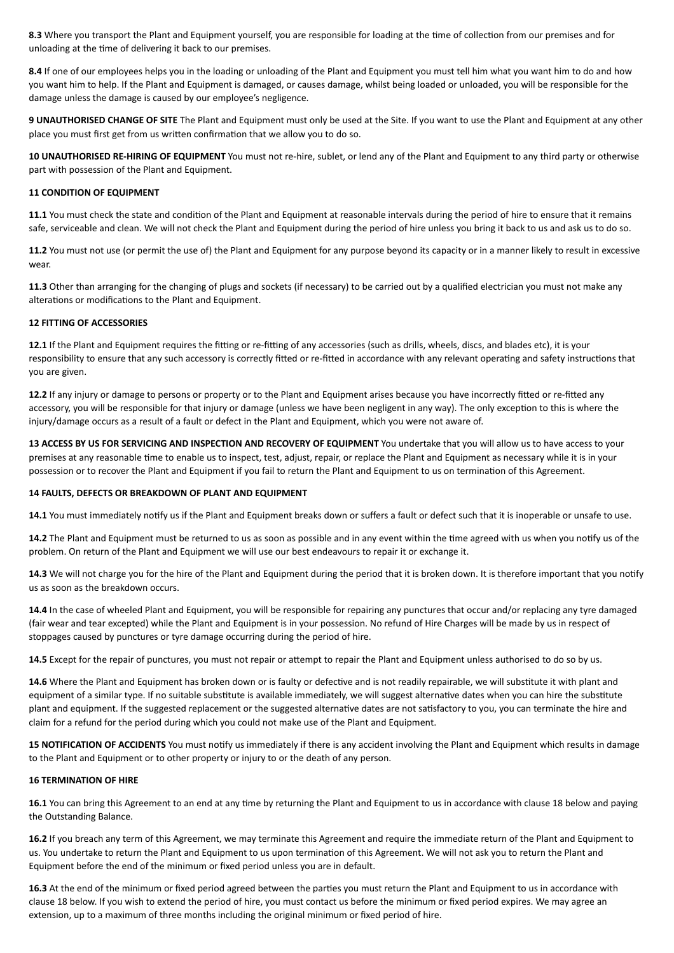8.3 Where you transport the Plant and Equipment yourself, you are responsible for loading at the time of collection from our premises and for unloading at the time of delivering it back to our premises.

8.4 If one of our employees helps you in the loading or unloading of the Plant and Equipment you must tell him what you want him to do and how you want him to help. If the Plant and Equipment is damaged, or causes damage, whilst being loaded or unloaded, you will be responsible for the damage unless the damage is caused by our employee's negligence.

**9 UNAUTHORISED CHANGE OF SITE** The Plant and Equipment must only be used at the Site. If you want to use the Plant and Equipment at any other place you must first get from us written confirmation that we allow you to do so.

**10 UNAUTHORISED RE-HIRING OF EQUIPMENT** You must not re-hire, sublet, or lend any of the Plant and Equipment to any third party or otherwise part with possession of the Plant and Equipment.

## **11 CONDITION OF EQUIPMENT**

**11.1** You must check the state and condition of the Plant and Equipment at reasonable intervals during the period of hire to ensure that it remains safe, serviceable and clean. We will not check the Plant and Equipment during the period of hire unless you bring it back to us and ask us to do so.

**11.2** You must not use (or permit the use of) the Plant and Equipment for any purpose beyond its capacity or in a manner likely to result in excessive wear. 

**11.3** Other than arranging for the changing of plugs and sockets (if necessary) to be carried out by a qualified electrician you must not make any alterations or modifications to the Plant and Equipment.

#### **12 FITTING OF ACCESSORIES**

**12.1** If the Plant and Equipment requires the fitting or re-fitting of any accessories (such as drills, wheels, discs, and blades etc), it is your responsibility to ensure that any such accessory is correctly fitted or re-fitted in accordance with any relevant operating and safety instructions that vou are given.

12.2 If any injury or damage to persons or property or to the Plant and Equipment arises because you have incorrectly fitted or re-fitted any accessory, you will be responsible for that injury or damage (unless we have been negligent in any way). The only exception to this is where the injury/damage occurs as a result of a fault or defect in the Plant and Equipment, which you were not aware of.

**13 ACCESS BY US FOR SERVICING AND INSPECTION AND RECOVERY OF EQUIPMENT** You undertake that you will allow us to have access to your premises at any reasonable time to enable us to inspect, test, adjust, repair, or replace the Plant and Equipment as necessary while it is in your possession or to recover the Plant and Equipment if you fail to return the Plant and Equipment to us on termination of this Agreement.

#### **14 FAULTS, DEFECTS OR BREAKDOWN OF PLANT AND EQUIPMENT**

14.1 You must immediately notify us if the Plant and Equipment breaks down or suffers a fault or defect such that it is inoperable or unsafe to use.

**14.2** The Plant and Equipment must be returned to us as soon as possible and in any event within the time agreed with us when you notify us of the problem. On return of the Plant and Equipment we will use our best endeavours to repair it or exchange it.

14.3 We will not charge you for the hire of the Plant and Equipment during the period that it is broken down. It is therefore important that you notify us as soon as the breakdown occurs.

**14.4** In the case of wheeled Plant and Equipment, you will be responsible for repairing any punctures that occur and/or replacing any tyre damaged (fair wear and tear excepted) while the Plant and Equipment is in your possession. No refund of Hire Charges will be made by us in respect of stoppages caused by punctures or tyre damage occurring during the period of hire.

14.5 Except for the repair of punctures, you must not repair or attempt to repair the Plant and Equipment unless authorised to do so by us.

14.6 Where the Plant and Equipment has broken down or is faulty or defective and is not readily repairable, we will substitute it with plant and equipment of a similar type. If no suitable substitute is available immediately, we will suggest alternative dates when you can hire the substitute plant and equipment. If the suggested replacement or the suggested alternative dates are not satisfactory to you, you can terminate the hire and claim for a refund for the period during which you could not make use of the Plant and Equipment.

15 **NOTIFICATION OF ACCIDENTS** You must notify us immediately if there is any accident involving the Plant and Equipment which results in damage to the Plant and Equipment or to other property or injury to or the death of any person.

#### **16 TERMINATION OF HIRE**

16.1 You can bring this Agreement to an end at any time by returning the Plant and Equipment to us in accordance with clause 18 below and paying the Outstanding Balance.

16.2 If you breach any term of this Agreement, we may terminate this Agreement and require the immediate return of the Plant and Equipment to us. You undertake to return the Plant and Equipment to us upon termination of this Agreement. We will not ask you to return the Plant and Equipment before the end of the minimum or fixed period unless you are in default.

16.3 At the end of the minimum or fixed period agreed between the parties you must return the Plant and Equipment to us in accordance with clause 18 below. If you wish to extend the period of hire, you must contact us before the minimum or fixed period expires. We may agree an extension, up to a maximum of three months including the original minimum or fixed period of hire.